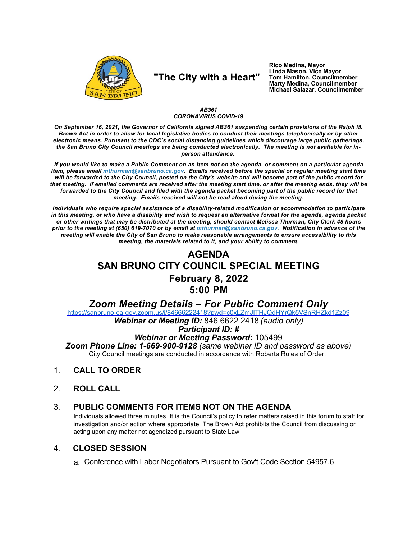

## "The City with a Heart"

Rico Medina, Mayor Linda Mason, Vice Mayor Tom Hamilton, Councilmember **Marty Medina, Councilmember** Michael Salazar, Councilmember

### AB361 **CORONAVIRUS COVID-19**

On September 16, 2021, the Governor of California signed AB361 suspending certain provisions of the Ralph M. Brown Act in order to allow for local legislative bodies to conduct their meetings telephonically or by other electronic means. Purusant to the CDC's social distancing guidelines which discourage large public gatherings, the San Bruno City Council meetings are being conducted electronically. The meeting is not available for inperson attendance.

If you would like to make a Public Comment on an item not on the agenda, or comment on a particular agenda item, please email *mthurman@sanbruno.ca.gov.* Emails received before the special or regular meeting start time will be forwarded to the City Council, posted on the City's website and will become part of the public record for that meeting. If emailed comments are received after the meeting start time, or after the meeting ends, they will be forwarded to the City Council and filed with the agenda packet becoming part of the public record for that meeting. Emails received will not be read aloud during the meeting.

Individuals who require special assistance of a disability-related modification or accommodation to participate in this meeting, or who have a disability and wish to request an alternative format for the agenda, agenda packet or other writings that may be distributed at the meeting, should contact Melissa Thurman, City Clerk 48 hours prior to the meeting at (650) 619-7070 or by email at mthurman@sanbruno.ca.gov. Notification in advance of the meeting will enable the City of San Bruno to make reasonable arrangements to ensure accessibility to this meeting, the materials related to it, and your ability to comment.

# **AGENDA** SAN BRUNO CITY COUNCIL SPECIAL MEETING **February 8, 2022** 5:00 PM

Zoom Meeting Details - For Public Comment Only

https://sanbruno-ca-gov.zoom.us/j/84666222418?pwd=c0xLZmJITHJQdHYrQk5VSnRHZkd1Zz09 Webinar or Meeting ID: 846 6622 2418 (audio only)

### **Participant ID: #**

## Webinar or Meeting Password: 105499

Zoom Phone Line: 1-669-900-9128 (same webinar ID and password as above) City Council meetings are conducted in accordance with Roberts Rules of Order.

- $1<sub>1</sub>$ **CALL TO ORDER**
- $2<sub>1</sub>$ **ROLL CALL**

#### $3_{-}$ PUBLIC COMMENTS FOR ITEMS NOT ON THE AGENDA

Individuals allowed three minutes. It is the Council's policy to refer matters raised in this forum to staff for investigation and/or action where appropriate. The Brown Act prohibits the Council from discussing or acting upon any matter not agendized pursuant to State Law.

#### $\mathbf{4}$ **CLOSED SESSION**

a. Conference with Labor Negotiators Pursuant to Gov't Code Section 54957.6